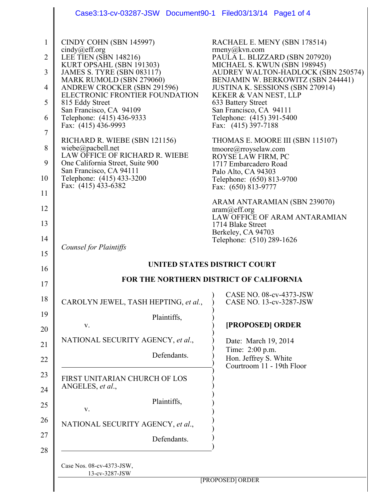|                | Case3:13-cv-03287-JSW Document90-1 Filed03/13/14 Page1 of 4                                  |                                                                                                                     |  |  |
|----------------|----------------------------------------------------------------------------------------------|---------------------------------------------------------------------------------------------------------------------|--|--|
| $\mathbf{1}$   | CINDY COHN (SBN 145997)                                                                      | RACHAEL E. MENY (SBN 178514)                                                                                        |  |  |
| $\overline{2}$ | cindy@eff.org<br>LEE TIEN (SBN 148216)                                                       | rmeny@kvn.com<br>PAULA L. BLIZZARD (SBN 207920)                                                                     |  |  |
| 3              | KURT OPSAHL (SBN 191303)                                                                     | MICHAEL S. KWUN (SBN 198945)                                                                                        |  |  |
| $\overline{4}$ | <b>JAMES S. TYRE (SBN 083117)</b><br>MARK RUMOLD (SBN 279060)<br>ANDREW CROCKER (SBN 291596) | AUDREY WALTON-HADLOCK (SBN 250574)<br>BENJAMIN W. BERKOWITZ (SBN 244441)<br><b>JUSTINA K. SESSIONS (SBN 270914)</b> |  |  |
| 5              | ELECTRONIC FRONTIER FOUNDATION<br>815 Eddy Street                                            | KEKER & VAN NEST, LLP<br>633 Battery Street                                                                         |  |  |
| 6              | San Francisco, CA 94109<br>Telephone: (415) 436-9333<br>Fax: (415) 436-9993                  | San Francisco, CA 94111<br>Telephone: (415) 391-5400<br>Fax: (415) 397-7188                                         |  |  |
| 7              |                                                                                              |                                                                                                                     |  |  |
| 8              | RICHARD R. WIEBE (SBN 121156)<br>wiebe@pacbell.net<br>LAW OFFICE OF RICHARD R. WIEBE         | THOMAS E. MOORE III (SBN 115107)<br>tmoore@rroyselaw.com<br>ROYSE LAW FIRM, PC                                      |  |  |
| 9              | One California Street, Suite 900<br>San Francisco, CA 94111                                  | 1717 Embarcadero Road<br>Palo Alto, CA 94303                                                                        |  |  |
| 10             | Telephone: (415) 433-3200<br>Fax: (415) 433-6382                                             | Telephone: (650) 813-9700<br>Fax: (650) 813-9777                                                                    |  |  |
| 11             |                                                                                              | ARAM ANTARAMIAN (SBN 239070)                                                                                        |  |  |
| 12             |                                                                                              | aram@eff.org<br>LAW OFFICE OF ARAM ANTARAMIAN                                                                       |  |  |
| 13             |                                                                                              | 1714 Blake Street<br>Berkeley, CA 94703                                                                             |  |  |
| 14             | <b>Counsel for Plaintiffs</b>                                                                | Telephone: (510) 289-1626                                                                                           |  |  |
| 15             |                                                                                              | <b>UNITED STATES DISTRICT COURT</b>                                                                                 |  |  |
| 16             | FOR THE NORTHERN DISTRICT OF CALIFORNIA                                                      |                                                                                                                     |  |  |
| 17             |                                                                                              |                                                                                                                     |  |  |
| 18             | CAROLYN JEWEL, TASH HEPTING, et al.,                                                         | CASE NO. 08-cv-4373-JSW<br>CASE NO. 13-cv-3287-JSW                                                                  |  |  |
| 19<br>20       | Plaintiffs,<br>V.                                                                            | [PROPOSED] ORDER                                                                                                    |  |  |
| 21             | NATIONAL SECURITY AGENCY, et al.,                                                            | Date: March 19, 2014                                                                                                |  |  |
| 22             | Defendants.                                                                                  | Time: 2:00 p.m.<br>Hon. Jeffrey S. White<br>Courtroom 11 - 19th Floor                                               |  |  |
| 23             | FIRST UNITARIAN CHURCH OF LOS<br>ANGELES, et al.,                                            |                                                                                                                     |  |  |
| 24             | Plaintiffs,                                                                                  |                                                                                                                     |  |  |
| 25             | V.                                                                                           |                                                                                                                     |  |  |
| 26             | NATIONAL SECURITY AGENCY, et al.,                                                            |                                                                                                                     |  |  |
| 27<br>28       | Defendants.                                                                                  |                                                                                                                     |  |  |
|                | Case Nos. 08-cv-4373-JSW,<br>13-cv-3287-JSW                                                  | [PROPOSED] ORDER                                                                                                    |  |  |
|                |                                                                                              |                                                                                                                     |  |  |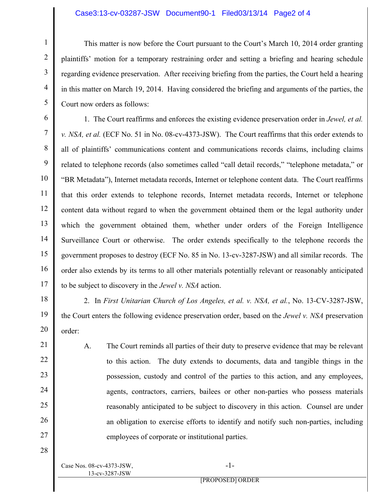## Case3:13-cv-03287-JSW Document90-1 Filed03/13/14 Page2 of 4

This matter is now before the Court pursuant to the Court's March 10, 2014 order granting plaintiffs' motion for a temporary restraining order and setting a briefing and hearing schedule regarding evidence preservation. After receiving briefing from the parties, the Court held a hearing in this matter on March 19, 2014. Having considered the briefing and arguments of the parties, the Court now orders as follows:

6 7 8 9 10 11 12 13 14 15 16 17 1. The Court reaffirms and enforces the existing evidence preservation order in *Jewel, et al. v. NSA, et al.* (ECF No. 51 in No. 08-cv-4373-JSW). The Court reaffirms that this order extends to all of plaintiffs' communications content and communications records claims, including claims related to telephone records (also sometimes called "call detail records," "telephone metadata," or "BR Metadata"), Internet metadata records, Internet or telephone content data. The Court reaffirms that this order extends to telephone records, Internet metadata records, Internet or telephone content data without regard to when the government obtained them or the legal authority under which the government obtained them, whether under orders of the Foreign Intelligence Surveillance Court or otherwise. The order extends specifically to the telephone records the government proposes to destroy (ECF No. 85 in No. 13-cv-3287-JSW) and all similar records. The order also extends by its terms to all other materials potentially relevant or reasonably anticipated to be subject to discovery in the *Jewel v. NSA* action.

18

21

22

23

 $24$ 

25

26

27

28

1

2

3

4

5

19 20 2. In *First Unitarian Church of Los Angeles, et al. v. NSA, et al.*, No. 13-CV-3287-JSW, the Court enters the following evidence preservation order, based on the *Jewel v. NSA* preservation order:

A. The Court reminds all parties of their duty to preserve evidence that may be relevant to this action. The duty extends to documents, data and tangible things in the possession, custody and control of the parties to this action, and any employees, agents, contractors, carriers, bailees or other non-parties who possess materials reasonably anticipated to be subject to discovery in this action. Counsel are under an obligation to exercise efforts to identify and notify such non-parties, including employees of corporate or institutional parties.

Case Nos. 08-cv-4373-JSW, 13-cv-3287-JSW

-1-

[PROPOSED] ORDER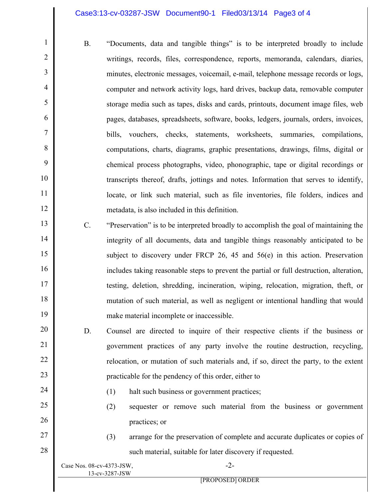## Case3:13-cv-03287-JSW Document90-1 Filed03/13/14 Page3 of 4

- B. "Documents, data and tangible things" is to be interpreted broadly to include writings, records, files, correspondence, reports, memoranda, calendars, diaries, minutes, electronic messages, voicemail, e-mail, telephone message records or logs, computer and network activity logs, hard drives, backup data, removable computer storage media such as tapes, disks and cards, printouts, document image files, web pages, databases, spreadsheets, software, books, ledgers, journals, orders, invoices, bills, vouchers, checks, statements, worksheets, summaries, compilations, computations, charts, diagrams, graphic presentations, drawings, films, digital or chemical process photographs, video, phonographic, tape or digital recordings or transcripts thereof, drafts, jottings and notes. Information that serves to identify, locate, or link such material, such as file inventories, file folders, indices and metadata, is also included in this definition.
- 13 14 15 16 17 18 19 C. "Preservation" is to be interpreted broadly to accomplish the goal of maintaining the integrity of all documents, data and tangible things reasonably anticipated to be subject to discovery under FRCP 26, 45 and 56(e) in this action. Preservation includes taking reasonable steps to prevent the partial or full destruction, alteration, testing, deletion, shredding, incineration, wiping, relocation, migration, theft, or mutation of such material, as well as negligent or intentional handling that would make material incomplete or inaccessible.
- 20 21 22 23 D. Counsel are directed to inquire of their respective clients if the business or government practices of any party involve the routine destruction, recycling, relocation, or mutation of such materials and, if so, direct the party, to the extent practicable for the pendency of this order, either to
	- (1) halt such business or government practices;
	- (2) sequester or remove such material from the business or government practices; or
	- (3) arrange for the preservation of complete and accurate duplicates or copies of

|                    | such material, suitable for later discovery if requested. |  |
|--------------------|-----------------------------------------------------------|--|
| s. 08-cv-4373-JSW, |                                                           |  |

| Case Nos. $08$ -cv-4373-JSW, |  |
|------------------------------|--|
| 13-cv-3287-JSW               |  |

1

2

3

4

5

6

7

8

9

10

11

12

24

25

26

27

28

[PROPOSED] ORDER